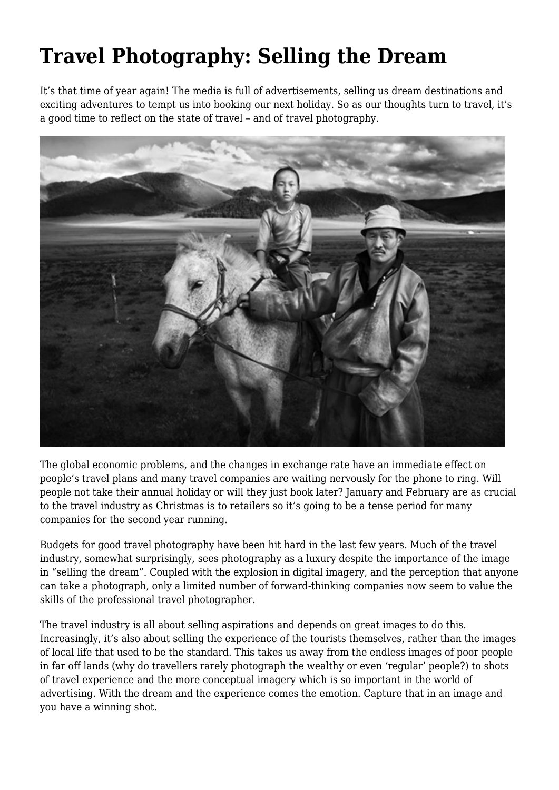## **Travel Photography: Selling the Dream**

It's that time of year again! The media is full of advertisements, selling us dream destinations and exciting adventures to tempt us into booking our next holiday. So as our thoughts turn to travel, it's a good time to reflect on the state of travel – and of travel photography.



The global economic problems, and the changes in exchange rate have an immediate effect on people's travel plans and many travel companies are waiting nervously for the phone to ring. Will people not take their annual holiday or will they just book later? January and February are as crucial to the travel industry as Christmas is to retailers so it's going to be a tense period for many companies for the second year running.

Budgets for good travel photography have been hit hard in the last few years. Much of the travel industry, somewhat surprisingly, sees photography as a luxury despite the importance of the image in "selling the dream". Coupled with the explosion in digital imagery, and the perception that anyone can take a photograph, only a limited number of forward-thinking companies now seem to value the skills of the professional travel photographer.

The travel industry is all about selling aspirations and depends on great images to do this. Increasingly, it's also about selling the experience of the tourists themselves, rather than the images of local life that used to be the standard. This takes us away from the endless images of poor people in far off lands (why do travellers rarely photograph the wealthy or even 'regular' people?) to shots of travel experience and the more conceptual imagery which is so important in the world of advertising. With the dream and the experience comes the emotion. Capture that in an image and you have a winning shot.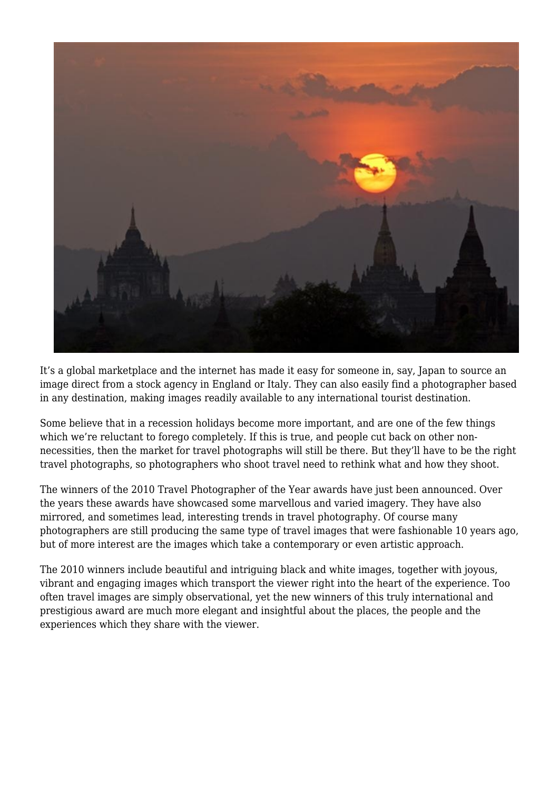

It's a global marketplace and the internet has made it easy for someone in, say, Japan to source an image direct from a stock agency in England or Italy. They can also easily find a photographer based in any destination, making images readily available to any international tourist destination.

Some believe that in a recession holidays become more important, and are one of the few things which we're reluctant to forego completely. If this is true, and people cut back on other nonnecessities, then the market for travel photographs will still be there. But they'll have to be the right travel photographs, so photographers who shoot travel need to rethink what and how they shoot.

The winners of the 2010 Travel Photographer of the Year awards have just been announced. Over the years these awards have showcased some marvellous and varied imagery. They have also mirrored, and sometimes lead, interesting trends in travel photography. Of course many photographers are still producing the same type of travel images that were fashionable 10 years ago, but of more interest are the images which take a contemporary or even artistic approach.

The 2010 winners include beautiful and intriguing black and white images, together with joyous, vibrant and engaging images which transport the viewer right into the heart of the experience. Too often travel images are simply observational, yet the new winners of this truly international and prestigious award are much more elegant and insightful about the places, the people and the experiences which they share with the viewer.